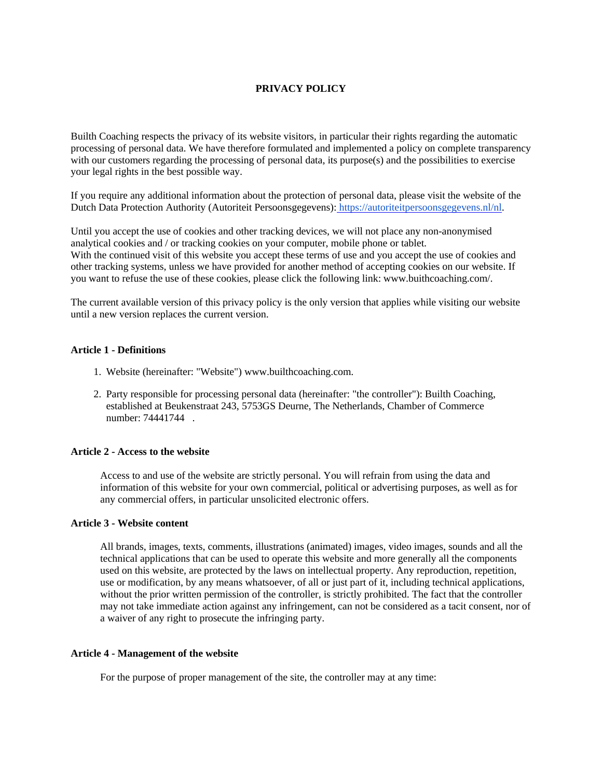# **PRIVACY POLICY**

Builth Coaching respects the privacy of its website visitors, in particular their rights regarding the automatic processing of personal data. We have therefore formulated and implemented a policy on complete transparency with our customers regarding the processing of personal data, its purpose(s) and the possibilities to exercise your legal rights in the best possible way.

If you require any additional information about the protection of personal data, please visit the website of the Dutch Data Protection Authority (Autoriteit Persoonsgegevens): [https://autoriteitpersoonsgegevens.nl/nl.](https://autoriteitpersoonsgegevens.nl/nl)

Until you accept the use of cookies and other tracking devices, we will not place any non-anonymised analytical cookies and / or tracking cookies on your computer, mobile phone or tablet. With the continued visit of this website you accept these terms of use and you accept the use of cookies and other tracking systems, unless we have provided for another method of accepting cookies on our website. If you want to refuse the use of these cookies, please click the following link: www.buithcoaching.com/.

The current available version of this privacy policy is the only version that applies while visiting our website until a new version replaces the current version.

## **Article 1 - Definitions**

- 1. Website (hereinafter: "Website") www.builthcoaching.com.
- 2. Party responsible for processing personal data (hereinafter: "the controller"): Builth Coaching, established at Beukenstraat 243, 5753GS Deurne, The Netherlands, Chamber of Commerce number: 74441744 .

## **Article 2 - Access to the website**

Access to and use of the website are strictly personal. You will refrain from using the data and information of this website for your own commercial, political or advertising purposes, as well as for any commercial offers, in particular unsolicited electronic offers.

#### **Article 3 - Website content**

All brands, images, texts, comments, illustrations (animated) images, video images, sounds and all the technical applications that can be used to operate this website and more generally all the components used on this website, are protected by the laws on intellectual property. Any reproduction, repetition, use or modification, by any means whatsoever, of all or just part of it, including technical applications, without the prior written permission of the controller, is strictly prohibited. The fact that the controller may not take immediate action against any infringement, can not be considered as a tacit consent, nor of a waiver of any right to prosecute the infringing party.

#### **Article 4 - Management of the website**

For the purpose of proper management of the site, the controller may at any time: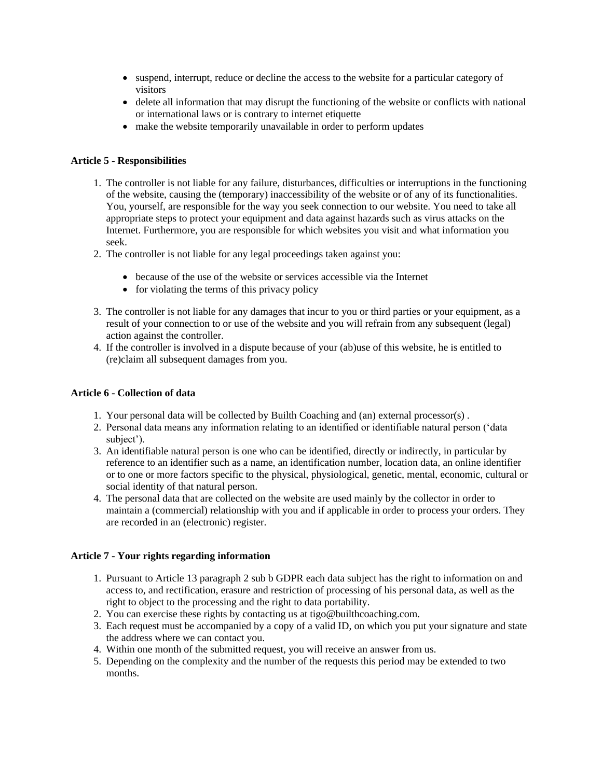- suspend, interrupt, reduce or decline the access to the website for a particular category of visitors
- delete all information that may disrupt the functioning of the website or conflicts with national or international laws or is contrary to internet etiquette
- make the website temporarily unavailable in order to perform updates

## **Article 5 - Responsibilities**

- 1. The controller is not liable for any failure, disturbances, difficulties or interruptions in the functioning of the website, causing the (temporary) inaccessibility of the website or of any of its functionalities. You, yourself, are responsible for the way you seek connection to our website. You need to take all appropriate steps to protect your equipment and data against hazards such as virus attacks on the Internet. Furthermore, you are responsible for which websites you visit and what information you seek.
- 2. The controller is not liable for any legal proceedings taken against you:
	- because of the use of the website or services accessible via the Internet
	- for violating the terms of this privacy policy
- 3. The controller is not liable for any damages that incur to you or third parties or your equipment, as a result of your connection to or use of the website and you will refrain from any subsequent (legal) action against the controller.
- 4. If the controller is involved in a dispute because of your (ab)use of this website, he is entitled to (re)claim all subsequent damages from you.

## **Article 6 - Collection of data**

- 1. Your personal data will be collected by Builth Coaching and (an) external processor(s) .
- 2. Personal data means any information relating to an identified or identifiable natural person ('data subject').
- 3. An identifiable natural person is one who can be identified, directly or indirectly, in particular by reference to an identifier such as a name, an identification number, location data, an online identifier or to one or more factors specific to the physical, physiological, genetic, mental, economic, cultural or social identity of that natural person.
- 4. The personal data that are collected on the website are used mainly by the collector in order to maintain a (commercial) relationship with you and if applicable in order to process your orders. They are recorded in an (electronic) register.

## **Article 7 - Your rights regarding information**

- 1. Pursuant to Article 13 paragraph 2 sub b GDPR each data subject has the right to information on and access to, and rectification, erasure and restriction of processing of his personal data, as well as the right to object to the processing and the right to data portability.
- 2. You can exercise these rights by contacting us at tigo@builthcoaching.com.
- 3. Each request must be accompanied by a copy of a valid ID, on which you put your signature and state the address where we can contact you.
- 4. Within one month of the submitted request, you will receive an answer from us.
- 5. Depending on the complexity and the number of the requests this period may be extended to two months.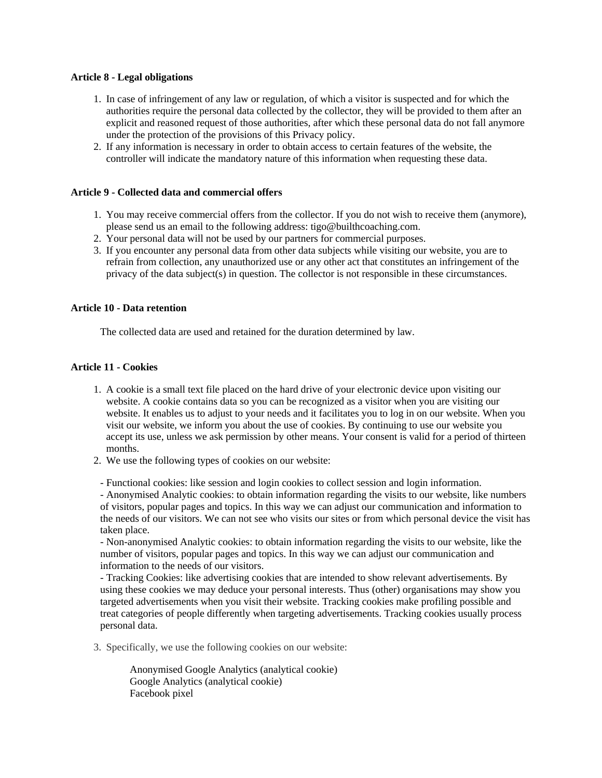## **Article 8 - Legal obligations**

- 1. In case of infringement of any law or regulation, of which a visitor is suspected and for which the authorities require the personal data collected by the collector, they will be provided to them after an explicit and reasoned request of those authorities, after which these personal data do not fall anymore under the protection of the provisions of this Privacy policy.
- 2. If any information is necessary in order to obtain access to certain features of the website, the controller will indicate the mandatory nature of this information when requesting these data.

#### **Article 9 - Collected data and commercial offers**

- 1. You may receive commercial offers from the collector. If you do not wish to receive them (anymore), please send us an email to the following address: tigo@builthcoaching.com.
- 2. Your personal data will not be used by our partners for commercial purposes.
- 3. If you encounter any personal data from other data subjects while visiting our website, you are to refrain from collection, any unauthorized use or any other act that constitutes an infringement of the privacy of the data subject(s) in question. The collector is not responsible in these circumstances.

#### **Article 10 - Data retention**

The collected data are used and retained for the duration determined by law.

## **Article 11 - Cookies**

- 1. A cookie is a small text file placed on the hard drive of your electronic device upon visiting our website. A cookie contains data so you can be recognized as a visitor when you are visiting our website. It enables us to adjust to your needs and it facilitates you to log in on our website. When you visit our website, we inform you about the use of cookies. By continuing to use our website you accept its use, unless we ask permission by other means. Your consent is valid for a period of thirteen months.
- 2. We use the following types of cookies on our website:

- Functional cookies: like session and login cookies to collect session and login information. - Anonymised Analytic cookies: to obtain information regarding the visits to our website, like numbers of visitors, popular pages and topics. In this way we can adjust our communication and information to the needs of our visitors. We can not see who visits our sites or from which personal device the visit has taken place.

- Non-anonymised Analytic cookies: to obtain information regarding the visits to our website, like the number of visitors, popular pages and topics. In this way we can adjust our communication and information to the needs of our visitors.

- Tracking Cookies: like advertising cookies that are intended to show relevant advertisements. By using these cookies we may deduce your personal interests. Thus (other) organisations may show you targeted advertisements when you visit their website. Tracking cookies make profiling possible and treat categories of people differently when targeting advertisements. Tracking cookies usually process personal data.

3. Specifically, we use the following cookies on our website:

Anonymised Google Analytics (analytical cookie) Google Analytics (analytical cookie) Facebook pixel